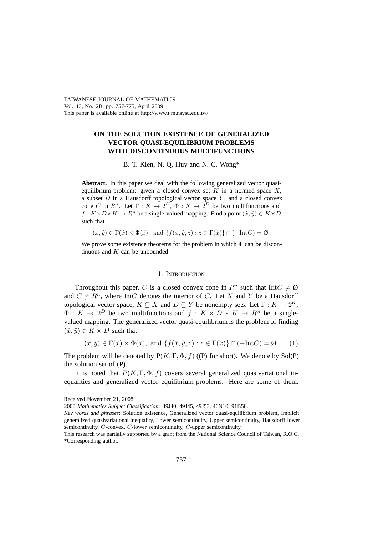TAIWANESE JOURNAL OF MATHEMATICS Vol. 13, No. 2B, pp. 757-775, April 2009 This paper is available online at http://www.tjm.nsysu.edu.tw/

# **ON THE SOLUTION EXISTENCE OF GENERALIZED VECTOR QUASI-EQUILIBRIUM PROBLEMS WITH DISCONTINUOUS MULTIFUNCTIONS**

B. T. Kien, N. Q. Huy and N. C. Wong\*

**Abstract.** In this paper we deal with the following generalized vector quasiequilibrium problem: given a closed convex set  $K$  in a normed space  $X$ , a subset  $D$  in a Hausdorff topological vector space  $Y$ , and a closed convex cone C in  $R^n$ . Let  $\Gamma : K \to 2^K$ ,  $\Phi : K \to 2^D$  be two multifunctions and  $f: K \times D \times K \to R^n$  be a single-valued mapping. Find a point  $(\hat{x}, \hat{y}) \in K \times D$ such that

 $(\hat{x}, \hat{y}) \in \Gamma(\hat{x}) \times \Phi(\hat{x}), \text{ and } \{f(\hat{x}, \hat{y}, z) : z \in \Gamma(\hat{x})\} \cap (-\text{Int}C) = \emptyset.$ 

We prove some existence theorems for the problem in which  $\Phi$  can be discontinuous and  $K$  can be unbounded.

#### 1. INTRODUCTION

Throughout this paper, C is a closed convex cone in  $R^n$  such that  $IntC \neq \emptyset$ and  $C \neq R^n$ , where IntC denotes the interior of C. Let X and Y be a Hausdorff topological vector space,  $K \subseteq X$  and  $D \subseteq Y$  be nonempty sets. Let  $\Gamma : K \to 2^K$ ,  $\Phi: K \to 2^D$  be two multifunctions and  $f: K \times D \times K \to R^n$  be a singlevalued mapping. The generalized vector quasi-equilibrium is the problem of finding  $(\hat{x}, \hat{y}) \in K \times D$  such that

$$
(\hat{x}, \hat{y}) \in \Gamma(\hat{x}) \times \Phi(\hat{x}), \text{ and } \{f(\hat{x}, \hat{y}, z) : z \in \Gamma(\hat{x})\} \cap (-\text{Int}C) = \emptyset. \tag{1}
$$

The problem will be denoted by  $P(K, \Gamma, \Phi, f)$  ((P) for short). We denote by Sol(P) the solution set of (P).

It is noted that  $P(K, \Gamma, \Phi, f)$  covers several generalized quasivariational inequalities and generalized vector equilibrium problems. Here are some of them.

Received November 21, 2008.

<sup>2000</sup> *Mathematics Subject Classification*: 49J40, 49J45, 49J53, 46N10, 91B50.

*Key words and phrases*: Solution existence, Generalized vector quasi-equilibrium problem, Implicit generalized quasivariational inequality, Lower semicontinuity, Upper semicontinuity, Hausdorff lower semicontinuity, *C*-convex, *C*-lower semicontinuity, *C*-upper semicontinuity.

This research was partially supported by a grant from the National Science Council of Taiwan, R.O.C. \*Corresponding author.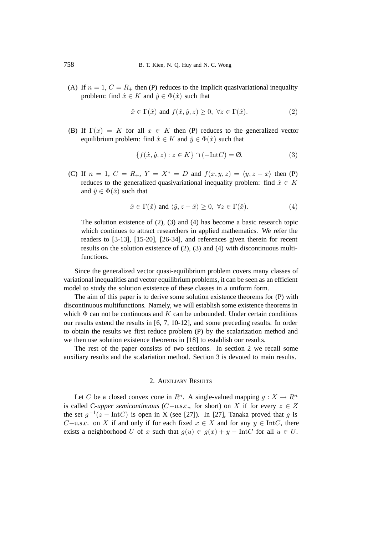(A) If  $n = 1$ ,  $C = R_+$  then (P) reduces to the implicit quasivariational inequality problem: find  $\hat{x} \in K$  and  $\hat{y} \in \Phi(\hat{x})$  such that

$$
\hat{x} \in \Gamma(\hat{x}) \text{ and } f(\hat{x}, \hat{y}, z) \ge 0, \ \forall z \in \Gamma(\hat{x}). \tag{2}
$$

(B) If  $\Gamma(x) = K$  for all  $x \in K$  then (P) reduces to the generalized vector equilibrium problem: find  $\hat{x} \in K$  and  $\hat{y} \in \Phi(\hat{x})$  such that

$$
\{f(\hat{x}, \hat{y}, z) : z \in K\} \cap (-\text{Int}C) = \emptyset. \tag{3}
$$

(C) If  $n = 1$ ,  $C = R_+$ ,  $Y = X^* = D$  and  $f(x, y, z) = \langle y, z - x \rangle$  then (P) reduces to the generalized quasivariational inequality problem: find  $\hat{x} \in K$ and  $\hat{y} \in \Phi(\hat{x})$  such that

$$
\hat{x} \in \Gamma(\hat{x}) \text{ and } \langle \hat{y}, z - \hat{x} \rangle \ge 0, \ \forall z \in \Gamma(\hat{x}). \tag{4}
$$

The solution existence of (2), (3) and (4) has become a basic research topic which continues to attract researchers in applied mathematics. We refer the readers to [3-13], [15-20], [26-34], and references given therein for recent results on the solution existence of (2), (3) and (4) with discontinuous multifunctions.

Since the generalized vector quasi-equilibrium problem covers many classes of variational inequalities and vector equilibrium problems, it can be seen as an efficient model to study the solution existence of these classes in a uniform form.

The aim of this paper is to derive some solution existence theorems for (P) with discontinuous multifunctions. Namely, we will establish some existence theorems in which  $\Phi$  can not be continuous and K can be unbounded. Under certain conditions our results extend the results in [6, 7, 10-12], and some preceding results. In order to obtain the results we first reduce problem (P) by the scalarization method and we then use solution existence theorems in [18] to establish our results.

The rest of the paper consists of two sections. In section 2 we recall some auxiliary results and the scalariation method. Section 3 is devoted to main results.

## 2. AUXILIARY RESULTS

Let C be a closed convex cone in  $R^n$ . A single-valued mapping  $q: X \to R^n$ is called C-*upper semicontinuous* (C−u.s.c., for short) on X if for every  $z \in Z$ the set  $g^{-1}(z - Int C)$  is open in X (see [27]). In [27], Tanaka proved that g is C−u.s.c. on X if and only if for each fixed  $x \in X$  and for any  $y \in \text{Int}C$ , there exists a neighborhood U of x such that  $g(u) \in g(x) + y - \text{Int}C$  for all  $u \in U$ .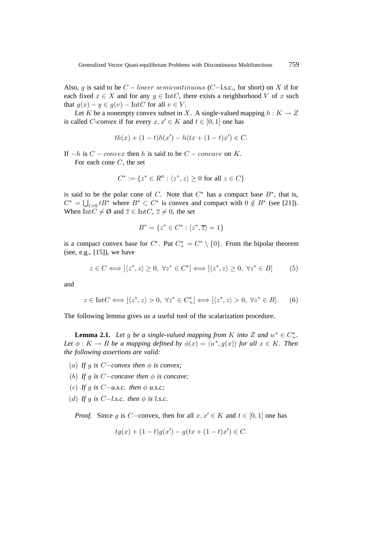Also, g is said to be  $C - lower semicontinuous$  (C−l.s.c., for short) on X if for each fixed  $x \in X$  and for any  $y \in \text{Int}C$ , there exists a neighborhood V of x such that  $g(x) - y \in g(v) - \text{Int}C$  for all  $v \in V$ .

Let K be a nonempty convex subset in X. A single-valued mapping  $h : K \to Z$ is called *C*-*convex* if for every  $x, x' \in K$  and  $t \in [0, 1]$  one has

$$
th(x) + (1-t)h(x') - h(tx + (1-t)x') \in C.
$$

If  $-h$  is  $C - convex$  then h is said to be  $C - concave$  on K. For each cone  $C$ , the set

$$
C^* := \{ z^* \in R^n : \langle z^*, z \rangle \ge 0 \text{ for all } z \in C \}
$$

is said to be the polar cone of C. Note that  $C^*$  has a compact base  $B^*$ , that is,  $C^* = \bigcup_{t>0} tB^*$  where  $B^* \subset C^*$  is convex and compact with  $0 \notin B^*$  (see [21]). When Int $C \neq \emptyset$  and  $\overline{z} \in \text{Int}C$ ,  $\overline{z} \neq 0$ , the set

$$
B^* = \{ z^* \in C^* : \langle z^*, \overline{z} \rangle = 1 \}
$$

is a compact convex base for  $C^*$ . Put  $C^*$  =  $C^* \setminus \{0\}$ . From the bipolar theorem (see, e.g., [15]), we have

$$
z \in C \Longleftrightarrow [\langle z^*, z \rangle \ge 0, \ \forall z^* \in C^*] \Longleftrightarrow [\langle z^*, z \rangle \ge 0, \ \forall z^* \in B] \tag{5}
$$

and

$$
z \in \text{Int}C \Longleftrightarrow [\langle z^*, z \rangle > 0, \ \forall z^* \in C_+^*] \Longleftrightarrow [\langle z^*, z \rangle > 0, \ \forall z^* \in B]. \tag{6}
$$

The following lemma gives us a useful tool of the scalarization procedure.

**Lemma 2.1.** Let g be a single-valued mapping from K into Z and  $u^* \in C^*_+$ . *Let*  $\phi: K \to R$  *be a mapping defined by*  $\phi(x) = \langle u^*, g(x) \rangle$  *for all*  $x \in K$ *. Then the following assertions are valid:*

- (a) If q is  $C$ −convex then  $\phi$  is convex;
- (b) *If* g *is* C−*concave then* φ *is concave;*
- (c) If q is  $C-u.s.c.$  then  $\phi$  u.s.c;
- (d) If g is  $C-1$ *s.c.* then  $\phi$  is l.s.c.

*Proof.* Since g is C−convex, then for all  $x, x' \in K$  and  $t \in [0, 1]$  one has

$$
tg(x) + (1-t)g(x') - g(tx + (1-t)x') \in C.
$$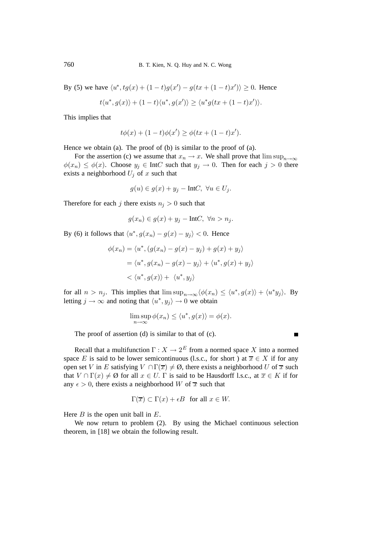By (5) we have  $\langle u^*, tg(x) + (1-t)g(x') - g(tx + (1-t)x') \rangle \ge 0$ . Hence

$$
t\langle u^*, g(x)\rangle + (1-t)\langle u^*, g(x')\rangle \ge \langle u^*g(tx + (1-t)x')\rangle.
$$

This implies that

$$
t\phi(x) + (1-t)\phi(x') \ge \phi(tx + (1-t)x').
$$

Hence we obtain (a). The proof of (b) is similar to the proof of (a).

For the assertion (c) we assume that  $x_n \to x$ . We shall prove that  $\limsup_{n\to\infty}$  $\phi(x_n) \leq \phi(x)$ . Choose  $y_i \in \text{Int}C$  such that  $y_i \to 0$ . Then for each  $j > 0$  there exists a neighborhood  $U_j$  of x such that

$$
g(u) \in g(x) + y_j - \text{Int}C, \ \forall u \in U_j.
$$

Therefore for each j there exists  $n<sub>i</sub> > 0$  such that

$$
g(x_n) \in g(x) + y_j - \text{Int}C, \ \forall n > n_j.
$$

By (6) it follows that  $\langle u^*, g(x_n) - g(x) - y_i \rangle < 0$ . Hence

$$
\phi(x_n) = \langle u^*, (g(x_n) - g(x) - y_j) + g(x) + y_j \rangle
$$
  
=  $\langle u^*, g(x_n) - g(x) - y_j \rangle + \langle u^*, g(x) + y_j \rangle$   
<  $\langle u^*, g(x) \rangle + \langle u^*, y_j \rangle$ 

for all  $n>n_j$ . This implies that  $\limsup_{n\to\infty}\langle\phi(x_n)\leq\langle u^*, g(x)\rangle+\langle u^*y_j\rangle$ . By letting  $j \to \infty$  and noting that  $\langle u^*, y_j \rangle \to 0$  we obtain

$$
\limsup_{n \to \infty} \phi(x_n) \le \langle u^*, g(x) \rangle = \phi(x).
$$

The proof of assertion (d) is similar to that of (c).

Recall that a multifunction  $\Gamma: X \to 2^E$  from a normed space X into a normed space E is said to be lower semicontinuous (l.s.c., for short) at  $\overline{x} \in X$  if for any open set V in E satisfying  $V \cap \Gamma(\overline{x}) \neq \emptyset$ , there exists a neighborhood U of  $\overline{x}$  such that  $V \cap \Gamma(x) \neq \emptyset$  for all  $x \in U$ .  $\Gamma$  is said to be Hausdorff l.s.c., at  $\overline{x} \in K$  if for any  $\epsilon > 0$ , there exists a neighborhood W of  $\overline{x}$  such that

$$
\Gamma(\overline{x}) \subset \Gamma(x) + \epsilon B \text{ for all } x \in W.
$$

Here  $B$  is the open unit ball in  $E$ .

We now return to problem (2). By using the Michael continuous selection theorem, in [18] we obtain the following result.

 $\blacksquare$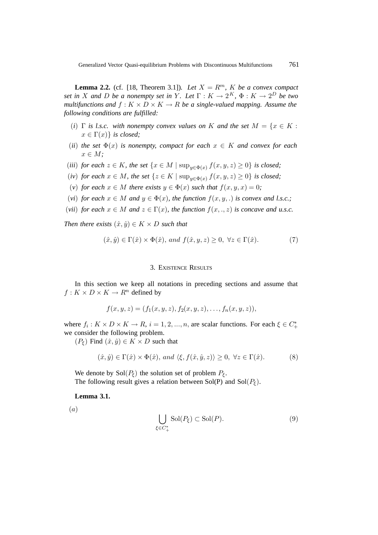**Lemma 2.2.** (cf. [18, Theorem 3.1]). Let  $X = R^m$ , K be a convex compact *set in* X and D be a nonempty set in Y. Let  $\Gamma : K \to 2^K$ ,  $\Phi : K \to 2^D$  be two *multifunctions and*  $f : K \times D \times K \rightarrow R$  *be a single-valued mapping. Assume the following conditions are fulfilled:*

- (*i*)  $\Gamma$  *is l.s.c.* with nonempty convex values on K and the set  $M = \{x \in K :$  $x \in \Gamma(x)$ *} is closed;*
- (*ii*) *the set*  $\Phi(x)$  *is nonempty, compact for each*  $x \in K$  *and convex for each*  $x \in M$ ;
- (*iii*) *for each*  $z \in K$ *, the set*  $\{x \in M \mid \sup_{y \in \Phi(x)} f(x, y, z) \ge 0\}$  *is closed*;
- (*iv*) *for each*  $x \in M$ *, the set*  $\{z \in K \mid \sup_{y \in \Phi(x)} f(x, y, z) \ge 0\}$  *is closed;*
- (*v*) *for each*  $x \in M$  *there exists*  $y \in \Phi(x)$  *such that*  $f(x, y, x) = 0$ ;
- (*vi*) *for each*  $x \in M$  *and*  $y \in \Phi(x)$ *, the function*  $f(x, y, .)$  *is convex and l.s.c.*;
- (*vii*) *for each*  $x \in M$  *and*  $z \in \Gamma(x)$ *, the function*  $f(x, \ldots, z)$  *is concave and u.s.c.*

*Then there exists*  $(\hat{x}, \hat{y}) \in K \times D$  *such that* 

$$
(\hat{x}, \hat{y}) \in \Gamma(\hat{x}) \times \Phi(\hat{x}), \text{ and } f(\hat{x}, y, z) \ge 0, \ \forall z \in \Gamma(\hat{x}). \tag{7}
$$

## 3. EXISTENCE RESULTS

In this section we keep all notations in preceding sections and assume that  $f: K \times D \times K \to R^n$  defined by

$$
f(x, y, z) = (f_1(x, y, z), f_2(x, y, z), \dots, f_n(x, y, z)),
$$

where  $f_i: K \times D \times K \to R$ ,  $i = 1, 2, ..., n$ , are scalar functions. For each  $\xi \in C^*_+$ we consider the following problem.

 $(P_{\xi})$  Find  $(\hat{x}, \hat{y}) \in K \times D$  such that

$$
(\hat{x}, \hat{y}) \in \Gamma(\hat{x}) \times \Phi(\hat{x}), \text{ and } \langle \xi, f(\hat{x}, \hat{y}, z) \rangle \ge 0, \forall z \in \Gamma(\hat{x}). \tag{8}
$$

We denote by  $Sol(P_{\xi})$  the solution set of problem  $P_{\xi}$ . The following result gives a relation between Sol(P) and Sol( $P<sub>f</sub>$ ).

**Lemma 3.1.**

(a)

$$
\bigcup_{\xi \in C^*_+} \text{Sol}(P_{\xi}) \subset \text{Sol}(P). \tag{9}
$$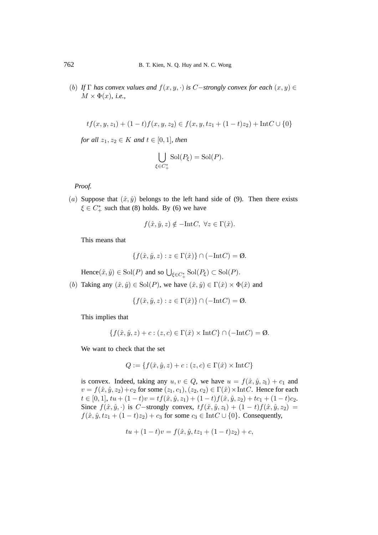(b) *If*  $\Gamma$  *has convex values and*  $f(x, y, \cdot)$  *is* C−*strongly convex for each*  $(x, y) \in$  $M \times \Phi(x)$ , *i.e.*,

$$
tf(x, y, z_1) + (1-t)f(x, y, z_2) \in f(x, y, tz_1 + (1-t)z_2) + Int C \cup \{0\}
$$

*for all*  $z_1, z_2 \in K$  *and*  $t \in [0, 1]$ *, then* 

$$
\bigcup_{\xi \in C^*_+} \mathrm{Sol}(P_{\xi}) = \mathrm{Sol}(P).
$$

*Proof.*

(a) Suppose that  $(\hat{x}, \hat{y})$  belongs to the left hand side of (9). Then there exists  $\xi \in C^*_+$  such that (8) holds. By (6) we have

$$
f(\hat{x}, \hat{y}, z) \notin -\text{Int}C, \forall z \in \Gamma(\hat{x}).
$$

This means that

$$
\{f(\hat{x}, \hat{y}, z) : z \in \Gamma(\hat{x})\} \cap (-\text{Int}C) = \emptyset.
$$

Hence  $(\hat{x}, \hat{y}) \in Sol(P)$  and so  $\bigcup_{\xi \in C^*_{+}} Sol(P_{\xi}) \subset Sol(P)$ .

(b) Taking any  $(\hat{x}, \hat{y}) \in Sol(P)$ , we have  $(\hat{x}, \hat{y}) \in \Gamma(\hat{x}) \times \Phi(\hat{x})$  and

$$
\{f(\hat{x}, \hat{y}, z) : z \in \Gamma(\hat{x})\} \cap (-\text{Int}C) = \emptyset.
$$

This implies that

$$
\{f(\hat{x}, \hat{y}, z) + c : (z, c) \in \Gamma(\hat{x}) \times \text{Int}C\} \cap (-\text{Int}C) = \emptyset.
$$

We want to check that the set

$$
Q := \{ f(\hat{x}, \hat{y}, z) + c : (z, c) \in \Gamma(\hat{x}) \times \text{Int}C \}
$$

is convex. Indeed, taking any  $u, v \in Q$ , we have  $u = f(\hat{x}, \hat{y}, z_1) + c_1$  and  $v = f(\hat{x}, \hat{y}, z_2) + c_2$  for some  $(z_1, c_1), (z_2, c_2) \in \Gamma(\hat{x}) \times \text{Int}C$ . Hence for each  $t \in [0, 1], tu + (1 - t)v = tf(\hat{x}, \hat{y}, z_1) + (1 - t)f(\hat{x}, \hat{y}, z_2) + tc_1 + (1 - t)c_2.$ Since  $f(\hat{x}, \hat{y}, \cdot)$  is C−strongly convex,  $tf(\hat{x}, \hat{y}, z_1) + (1 - t)f(\hat{x}, \hat{y}, z_2) =$  $f(\hat{x}, \hat{y}, tz_1 + (1-t)z_2) + c_3$  for some  $c_3 \in \text{Int}C \cup \{0\}$ . Consequently,

$$
tu + (1-t)v = f(\hat{x}, \hat{y}, tz_1 + (1-t)z_2) + c,
$$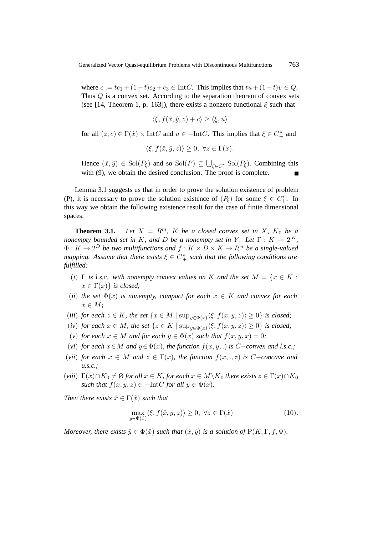where  $c := tc_1 + (1-t)c_2 + c_3 \in IntC$ . This implies that  $tu + (1-t)v \in Q$ . Thus Q is a convex set. According to the separation theorem of convex sets (see [14, Theorem 1, p. 163]), there exists a nonzero functional  $\xi$  such that

$$
\langle \xi, f(\hat{x}, \hat{y}, z) + c \rangle \ge \langle \xi, u \rangle
$$

for all  $(z, c) \in \Gamma(\hat{x}) \times \text{Int}C$  and  $u \in -\text{Int}C$ . This implies that  $\xi \in C^*_+$  and

$$
\langle \xi, f(\hat{x}, \hat{y}, z) \rangle \ge 0, \ \forall z \in \Gamma(\hat{x}).
$$

Hence  $(\hat{x}, \hat{y}) \in Sol(P_{\xi})$  and so  $Sol(P) \subseteq \bigcup_{\xi \in C_{+}^{*}} Sol(P_{\xi})$ . Combining this with (9), we obtain the desired conclusion. The proof is complete.

Lemma 3.1 suggests us that in order to prove the solution existence of problem (P), it is necessary to prove the solution existence of  $(P_{\xi})$  for some  $\xi \in C_{+}^{*}$ . In this way we obtain the following existence result for the case of finite dimensional spaces.

**Theorem 3.1.** *Let*  $X = R^m$ ,  $K$  *be a closed convex set in*  $X$ *,*  $K_0$  *be a nonempty bounded set in* K, and D *be a nonempty set in* Y. Let  $\Gamma : K \to 2^K$ ,  $\Phi: K \to 2^D$  *be two multifunctions and*  $f: K \times D \times K \to R^n$  *be a single-valued mapping. Assume that there exists*  $\xi \in C^*_+$  *such that the following conditions are fulfilled:*

- (*i*)  $\Gamma$  *is l.s.c.* with nonempty convex values on K and the set  $M = \{x \in K :$  $x \in \Gamma(x)$ *} is closed;*
- (*ii*) *the set*  $\Phi(x)$  *is nonempty, compact for each*  $x \in K$  *and convex for each*  $x \in M$ ;
- (*iii*) *for each*  $z \in K$ *, the set*  $\{x \in M \mid \sup_{y \in \Phi(x)} \langle \xi, f(x, y, z) \rangle \ge 0\}$  *is closed*;
- (*iv*) *for each*  $x \in M$ *, the set*  $\{z \in K \mid \sup_{y \in \Phi(x)} \langle \xi, f(x, y, z) \rangle \ge 0\}$  *is closed*;
- (*v*) *for each*  $x \in M$  *and for each*  $y \in \Phi(x)$  *such that*  $f(x, y, x) = 0$ *;*
- (*vi*) *for each*  $x \in M$  *and*  $y \in \Phi(x)$ *, the function*  $f(x, y, .)$  *is* C−*convex and l.s.c.;*
- (*vii*) *for each*  $x \in M$  *and*  $z \in \Gamma(x)$ *, the function*  $f(x, \ldots, z)$  *is* C-*concave and u.s.c.;*
- (*viii*)  $\Gamma(x) \cap K_0 \neq \emptyset$  *for all*  $x \in K$ *, for each*  $x \in M \setminus K_0$  *there exists*  $z \in \Gamma(x) \cap K_0$ *such that*  $f(x, y, z) \in -\text{Int}C$  *for all*  $y \in \Phi(x)$ *.*

*Then there exists*  $\hat{x} \in \Gamma(\hat{x})$  *such that* 

$$
\max_{y \in \Phi(\hat{x})} \langle \xi, f(\hat{x}, y, z) \rangle \ge 0, \ \forall z \in \Gamma(\hat{x})
$$
\n(10).

*Moreover, there exists*  $\hat{y} \in \Phi(\hat{x})$  *such that*  $(\hat{x}, \hat{y})$  *is a solution of*  $P(K, \Gamma, f, \Phi)$ *.*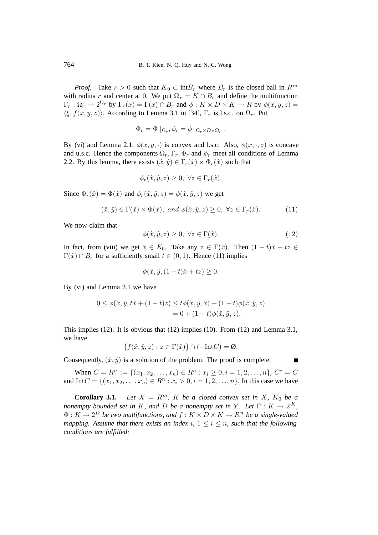*Proof.* Take  $r > 0$  such that  $K_0 \subset \text{int}B_r$  where  $B_r$  is the closed ball in  $R^m$ with radius r and center at 0. We put  $\Omega_r = K \cap B_r$  and define the multifunction  $\Gamma_r : \Omega_r \to 2^{\Omega_r}$  by  $\Gamma_r(x) = \Gamma(x) \cap B_r$  and  $\phi : K \times D \times K \to R$  by  $\phi(x, y, z) =$  $\langle \xi, f(x, y, z) \rangle$ . According to Lemma 3.1 in [34],  $\Gamma_r$  is l.s.c. on  $\Omega_r$ . Put

$$
\Phi_r = \Phi |_{\Omega_r}, \phi_r = \phi |_{\Omega_r \times D \times \Omega_r}.
$$

By (vi) and Lemma 2.1,  $\phi(x, y, \cdot)$  is convex and l.s.c. Also,  $\phi(x, \cdot, z)$  is concave and u.s.c. Hence the components  $\Omega_r, \Gamma_r, \Phi_r$  and  $\phi_r$  meet all conditions of Lemma 2.2. By this lemma, there exists  $(\hat{x}, \hat{y}) \in \Gamma_r(\hat{x}) \times \Phi_r(\hat{x})$  such that

$$
\phi_r(\hat{x}, \hat{y}, z) \ge 0, \ \forall z \in \Gamma_r(\hat{x}).
$$

Since  $\Phi_r(\hat{x}) = \Phi(\hat{x})$  and  $\phi_r(\hat{x}, \hat{y}, z) = \phi(\hat{x}, \hat{y}, z)$  we get

$$
(\hat{x}, \hat{y}) \in \Gamma(\hat{x}) \times \Phi(\hat{x}), \text{ and } \phi(\hat{x}, \hat{y}, z) \ge 0, \forall z \in \Gamma_r(\hat{x}). \tag{11}
$$

We now claim that

$$
\phi(\hat{x}, \hat{y}, z) \ge 0, \ \forall z \in \Gamma(\hat{x}).\tag{12}
$$

In fact, from (viii) we get  $\hat{x} \in K_0$ . Take any  $z \in \Gamma(\hat{x})$ . Then  $(1-t)\hat{x} + tz \in$  $\Gamma(\hat{x}) \cap B_r$  for a sufficiently small  $t \in (0, 1)$ . Hence (11) implies

$$
\phi(\hat{x}, \hat{y}, (1-t)\hat{x} + tz) \ge 0.
$$

By (vi) and Lemma 2.1 we have

$$
0 \leq \phi(\hat{x}, \hat{y}, t\hat{x} + (1-t)z) \leq t\phi(\hat{x}, \hat{y}, \hat{x}) + (1-t)\phi(\hat{x}, \hat{y}, z)
$$
  
= 0 + (1-t)\phi(\hat{x}, \hat{y}, z).

This implies (12). It is obvious that (12) implies (10). From (12) and Lemma 3.1, we have

$$
\{f(\hat{x}, \hat{y}, z) : z \in \Gamma(\hat{x})\} \cap (-\text{Int}C) = \emptyset.
$$

Consequently,  $(\hat{x}, \hat{y})$  is a solution of the problem. The proof is complete.

When  $C = R_+^n := \{(x_1, x_2, \ldots, x_n) \in R^n : x_i \geq 0, i = 1, 2, \ldots, n\}, C^* = C$ and Int $C = \{(x_1, x_2,...,x_n) \in R^n : x_i > 0, i = 1, 2,..., n\}$ . In this case we have

**Corollary 3.1.** *Let*  $X = R^m$ *,*  $K$  *be a closed convex set in*  $X$ *,*  $K_0$  *be a nonempty bounded set in* K, and D be a nonempty set in Y. Let  $\Gamma : K \to 2^K$ ,  $\Phi: K \to 2^D$  be two multifunctions, and  $f: K \times D \times K \to R^n$  be a single-valued *mapping. Assume that there exists an index* i,  $1 \le i \le n$ *, such that the following conditions are fulfilled:*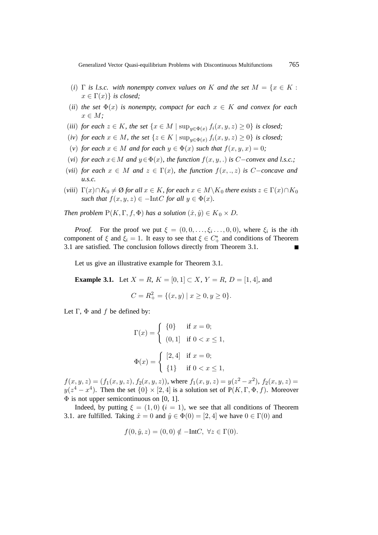- (*i*)  $\Gamma$  *is l.s.c.* with nonempty convex values on K and the set  $M = \{x \in K :$  $x \in \Gamma(x)$ *} is closed;*
- (*ii*) the set  $\Phi(x)$  is nonempty, compact for each  $x \in K$  and convex for each  $x \in M$ ;
- (*iii*) *for each*  $z \in K$ *, the set*  $\{x \in M \mid \sup_{y \in \Phi(x)} f_i(x, y, z) \ge 0\}$  *is closed*;
- (*iv*) *for each*  $x \in M$ *, the set*  $\{z \in K \mid \sup_{y \in \Phi(x)} f_i(x, y, z) \ge 0\}$  *is closed;*
- (*v*) *for each*  $x \in M$  *and for each*  $y \in \Phi(x)$  *such that*  $f(x, y, x) = 0$ ;
- (*vi*) *for each*  $x \in M$  *and*  $y \in \Phi(x)$ *, the function*  $f(x, y, .)$  *is* C−*convex and l.s.c.;*
- (*vii*) *for each*  $x \in M$  *and*  $z \in \Gamma(x)$ *, the function*  $f(x, \ldots, z)$  *is* C−*concave and u.s.c.*
- (*viii*)  $\Gamma(x) \cap K_0 \neq \emptyset$  *for all*  $x \in K$ *, for each*  $x \in M \setminus K_0$  *there exists*  $z \in \Gamma(x) \cap K_0$ *such that*  $f(x, y, z) \in -\text{Int}C$  *for all*  $y \in \Phi(x)$ *.*

*Then problem*  $P(K, \Gamma, f, \Phi)$  *has a solution*  $(\hat{x}, \hat{y}) \in K_0 \times D$ .

*Proof.* For the proof we put  $\xi = (0, 0, \ldots, \xi_i, \ldots, 0, 0)$ , where  $\xi_i$  is the *i*th component of  $\xi$  and  $\xi_i = 1$ . It easy to see that  $\xi \in C^*_+$  and conditions of Theorem 3.1 are satisfied. The conclusion follows directly from Theorem 3.1.

Let us give an illustrative example for Theorem 3.1.

**Example 3.1.** Let  $X = R$ ,  $K = [0, 1] \subset X$ ,  $Y = R$ ,  $D = [1, 4]$ , and

$$
C = R_+^2 = \{(x, y) \mid x \ge 0, y \ge 0\}.
$$

Let  $\Gamma$ ,  $\Phi$  and  $f$  be defined by:

$$
\Gamma(x) = \begin{cases} \{0\} & \text{if } x = 0; \\ (0,1) & \text{if } 0 < x \le 1, \end{cases}
$$

$$
\Phi(x) = \begin{cases} [2,4] & \text{if } x = 0; \\ \{1\} & \text{if } 0 < x \le 1, \end{cases}
$$

 $f(x, y, z)=(f_1(x, y, z), f_2(x, y, z))$ , where  $f_1(x, y, z) = y(z^2 - x^2)$ ,  $f_2(x, y, z) =$  $y(z^4 - x^4)$ . Then the set  $\{0\} \times [2, 4]$  is a solution set of  $P(K, \Gamma, \Phi, f)$ . Moreover  $\Phi$  is not upper semicontinuous on [0, 1].

Indeed, by putting  $\xi = (1, 0)$   $(i = 1)$ , we see that all conditions of Theorem 3.1. are fulfilled. Taking  $\hat{x} = 0$  and  $\hat{y} \in \Phi(0) = [2, 4]$  we have  $0 \in \Gamma(0)$  and

$$
f(0, \hat{y}, z) = (0, 0) \notin -IntC, \ \forall z \in \Gamma(0).
$$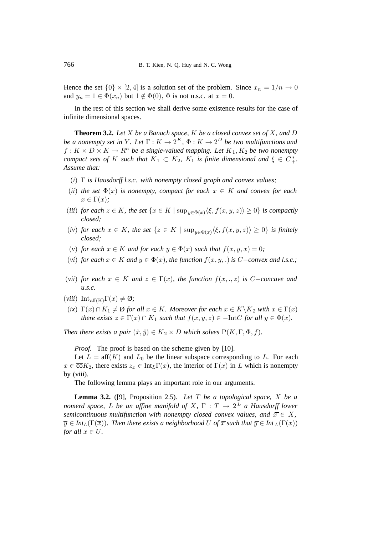Hence the set  $\{0\} \times [2, 4]$  is a solution set of the problem. Since  $x_n = 1/n \rightarrow 0$ and  $y_n = 1 \in \Phi(x_n)$  but  $1 \notin \Phi(0)$ ,  $\Phi$  is not u.s.c. at  $x = 0$ .

In the rest of this section we shall derive some existence results for the case of infinite dimensional spaces.

**Theorem 3.2.** *Let* X *be a Banach space,* K *be a closed convex set of* X*, and* D *be a nonempty set in* Y. Let  $\Gamma: K \to 2^K$ ,  $\Phi: K \to 2^D$  *be two multifunctions and*  $f: K \times D \times K \to \mathbb{R}^n$  *be a single-valued mapping. Let*  $K_1, K_2$  *be two nonempty compact sets of* K *such that*  $K_1 \subset K_2$ ,  $K_1$  *is finite dimensional and*  $\xi \in C^*_+$ . *Assume that:*

- (*i*) Γ *is Hausdorff l.s.c. with nonempty closed graph and convex values;*
- (*ii*) the set  $\Phi(x)$  is nonempty, compact for each  $x \in K$  and convex for each  $x \in \Gamma(x)$ ;
- (*iii*) *for each*  $z \in K$ *, the set*  $\{x \in K \mid \sup_{y \in \Phi(x)} \langle \xi, f(x, y, z) \rangle \ge 0\}$  *is compactly closed;*
- (*iv*) *for each*  $x \in K$ *, the set*  $\{z \in K \mid \sup_{y \in \Phi(x)} \langle \xi, f(x, y, z) \rangle \ge 0\}$  *is finitely closed;*
- (*v*) *for each*  $x \in K$  *and for each*  $y \in \Phi(x)$  *such that*  $f(x, y, x) = 0$ ;
- (*vi*) *for each*  $x \in K$  *and*  $y \in \Phi(x)$ *, the function*  $f(x, y, .)$  *is* C−*convex and l.s.c.;*
- (*vii*) *for each*  $x \in K$  *and*  $z \in \Gamma(x)$ *, the function*  $f(x, \ldots, z)$  *is* C-*concave and u.s.c.*
- $(viii)$  Int<sub>aff(K)</sub> $\Gamma(x) \neq \emptyset$ ;
- (*ix*)  $\Gamma(x) \cap K_1 \neq \emptyset$  *for all*  $x \in K$ *. Moreover for each*  $x \in K \backslash K_2$  *with*  $x \in \Gamma(x)$ *there exists*  $z \in \Gamma(x) \cap K_1$  *such that*  $f(x, y, z) \in -\text{Int}C$  *for all*  $y \in \Phi(x)$ *.*

*Then there exists a pair*  $(\hat{x}, \hat{y}) \in K_2 \times D$  *which solves*  $P(K, \Gamma, \Phi, f)$ *.* 

*Proof.* The proof is based on the scheme given by [10].

Let  $L = aff(K)$  and  $L_0$  be the linear subspace corresponding to L. For each  $x \in \overline{\text{co}}K_2$ , there exists  $z_x \in \text{Int}_L\Gamma(x)$ , the interior of  $\Gamma(x)$  in L which is nonempty by (viii).

The following lemma plays an important role in our arguments.

**Lemma 3.2.** ([9], Proposition 2.5)*. Let* T *be a topological space,* X *be a nomerd space,* L *be an affine manifold of* X,  $\Gamma : T \rightarrow 2^L$  *a Hausdorff lower semicontinuous multifunction with nonempty closed convex values, and*  $\overline{x} \in X$ ,  $\overline{y} \in Int_L(\Gamma(\overline{x}))$ *. Then there exists a neighborhood* U of  $\overline{x}$  *such that*  $\overline{y} \in Int_L(\Gamma(x))$ *for all*  $x \in U$ *.*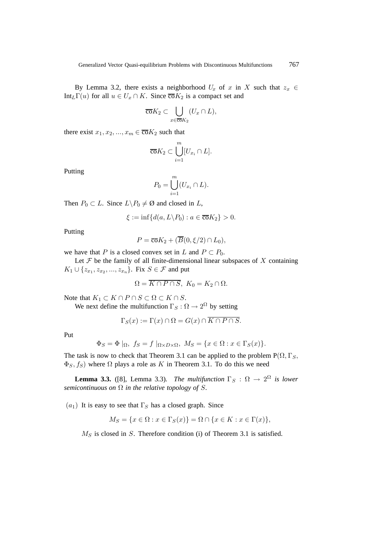By Lemma 3.2, there exists a neighborhood  $U_x$  of x in X such that  $z_x \in$ Int<sub>L</sub>Γ(u) for all  $u \in U_x \cap K$ . Since  $\overline{co}K_2$  is a compact set and

$$
\overline{\operatorname{co}}K_2 \subset \bigcup_{x \in \overline{\operatorname{co}}K_2} (U_x \cap L),
$$

there exist  $x_1, x_2, ..., x_m \in \overline{co}K_2$  such that

$$
\overline{\operatorname{co}}K_2 \subset \bigcup_{i=1}^m [U_{x_i} \cap L].
$$

Putting

$$
P_0 = \bigcup_{i=1}^m (U_{x_i} \cap L).
$$

Then  $P_0 \subset L$ . Since  $L \backslash P_0 \neq \emptyset$  and closed in  $L$ ,

$$
\xi := \inf \{ d(a, L \backslash P_0) : a \in \overline{\text{co}}K_2 \} > 0.
$$

Putting

$$
P = \overline{\mathrm{co}}K_2 + (\overline{B}(0, \xi/2) \cap L_0),
$$

we have that P is a closed convex set in L and  $P \subset P_0$ .

Let  $F$  be the family of all finite-dimensional linear subspaces of  $X$  containing  $K_1 \cup \{z_{x_1}, z_{x_2}, ..., z_{x_n}\}.$  Fix  $S \in \mathcal{F}$  and put

$$
\Omega = \overline{K \cap P \cap S}, \ K_0 = K_2 \cap \Omega.
$$

Note that  $K_1 \subset K \cap P \cap S \subset \Omega \subset K \cap S$ .

We next define the multifunction  $\Gamma_S : \Omega \to 2^{\Omega}$  by setting

$$
\Gamma_S(x) := \Gamma(x) \cap \Omega = G(x) \cap \overline{K \cap P \cap S}.
$$

Put

$$
\Phi_S = \Phi |_{\Omega}, \ f_S = f |_{\Omega \times D \times \Omega}, \ M_S = \{ x \in \Omega : x \in \Gamma_S(x) \}.
$$

The task is now to check that Theorem 3.1 can be applied to the problem  $P(\Omega, \Gamma_S, \Gamma_S)$  $\Phi_S$ ,  $f_S$ ) where  $\Omega$  plays a role as K in Theorem 3.1. To do this we need

**Lemma 3.3.** ([8], Lemma 3.3). The multifunction  $\Gamma_S : \Omega \to 2^{\Omega}$  is lower *semicontinuous on*  $\Omega$  *in the relative topology of* S.

 $(a_1)$  It is easy to see that  $\Gamma_S$  has a closed graph. Since

$$
M_S = \{ x \in \Omega : x \in \Gamma_S(x) \} = \Omega \cap \{ x \in K : x \in \Gamma(x) \},
$$

 $M<sub>S</sub>$  is closed in S. Therefore condition (i) of Theorem 3.1 is satisfied.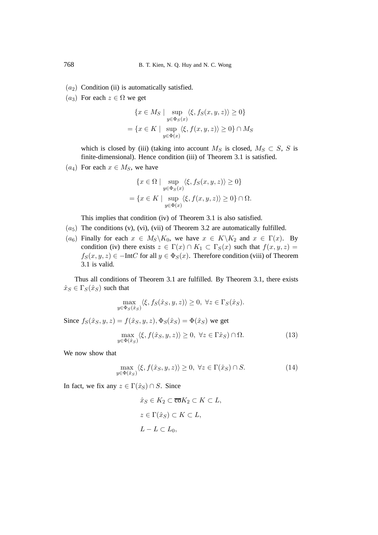- $(a<sub>2</sub>)$  Condition (ii) is automatically satisfied.
- $(a_3)$  For each  $z \in \Omega$  we get

$$
\{x \in M_S \mid \sup_{y \in \Phi_S(x)} \langle \xi, f_S(x, y, z) \rangle \ge 0\}
$$
  
= 
$$
\{x \in K \mid \sup_{y \in \Phi(x)} \langle \xi, f(x, y, z) \rangle \ge 0\} \cap M_S
$$

which is closed by (iii) (taking into account  $M_S$  is closed,  $M_S \subset S$ , S is finite-dimensional). Hence condition (iii) of Theorem 3.1 is satisfied.

 $(a_4)$  For each  $x \in M_S$ , we have

$$
\{x \in \Omega \mid \sup_{y \in \Phi_S(x)} \langle \xi, f_S(x, y, z) \rangle \ge 0\}
$$
  
= 
$$
\{x \in K \mid \sup_{y \in \Phi(x)} \langle \xi, f(x, y, z) \rangle \ge 0\} \cap \Omega.
$$

This implies that condition (iv) of Theorem 3.1 is also satisfied.

- $(a_5)$  The conditions (v), (vi), (vii) of Theorem 3.2 are automatically fulfilled.
- $(a_6)$  Finally for each  $x \in M_S \backslash K_0$ , we have  $x \in K \backslash K_2$  and  $x \in \Gamma(x)$ . By condition (iv) there exists  $z \in \Gamma(x) \cap K_1 \subset \Gamma_S(x)$  such that  $f(x, y, z) =$  $f_S(x, y, z) \in -IntC$  for all  $y \in \Phi_S(x)$ . Therefore condition (viii) of Theorem 3.1 is valid.

Thus all conditions of Theorem 3.1 are fulfilled. By Theorem 3.1, there exists  $\hat{x}_S \in \Gamma_S(\hat{x}_S)$  such that

$$
\max_{y \in \Phi_S(\hat{x}_S)} \langle \xi, f_S(\hat{x}_S, y, z) \rangle \ge 0, \ \forall z \in \Gamma_S(\hat{x}_S).
$$

Since  $f_S(\hat{x}_S, y, z) = f(\hat{x}_S, y, z), \Phi_S(\hat{x}_S) = \Phi(\hat{x}_S)$  we get

$$
\max_{y \in \Phi(\hat{x}_S)} \langle \xi, f(\hat{x}_S, y, z) \rangle \ge 0, \ \forall z \in \Gamma(\hat{x}_S) \cap \Omega. \tag{13}
$$

We now show that

$$
\max_{y \in \Phi(\hat{x}_S)} \langle \xi, f(\hat{x}_S, y, z) \rangle \ge 0, \ \forall z \in \Gamma(\hat{x}_S) \cap S. \tag{14}
$$

In fact, we fix any  $z \in \Gamma(\hat{x}_S) \cap S$ . Since

$$
\hat{x}_S \in K_2 \subset \overline{\text{co}}K_2 \subset K \subset L,
$$
  

$$
z \in \Gamma(\hat{x}_S) \subset K \subset L,
$$
  

$$
L - L \subset L_0,
$$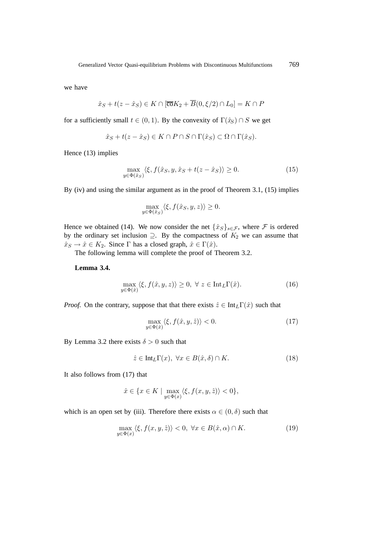we have

$$
\hat{x}_S + t(z - \hat{x}_S) \in K \cap [\overline{\text{co}}K_2 + \overline{B}(0, \xi/2) \cap L_0] = K \cap P
$$

for a sufficiently small  $t \in (0, 1)$ . By the convexity of  $\Gamma(\hat{x}_S) \cap S$  we get

$$
\hat{x}_S + t(z - \hat{x}_S) \in K \cap P \cap S \cap \Gamma(\hat{x}_S) \subset \Omega \cap \Gamma(\hat{x}_S).
$$

Hence (13) implies

$$
\max_{y \in \Phi(\hat{x}_S)} \langle \xi, f(\hat{x}_S, y, \hat{x}_S + t(z - \hat{x}_S)) \rangle \ge 0.
$$
\n(15)

By (iv) and using the similar argument as in the proof of Theorem 3.1, (15) implies

$$
\max_{y \in \Phi(\hat{x}_S)} \langle \xi, f(\hat{x}_S, y, z) \rangle \ge 0.
$$

Hence we obtained (14). We now consider the net  $\{\hat{x}_S\}_{S \in \mathcal{F}}$ , where  $\mathcal F$  is ordered by the ordinary set inclusion  $\supseteq$ . By the compactness of  $K_2$  we can assume that  $\hat{x}_S \to \hat{x} \in K_2$ . Since  $\Gamma$  has a closed graph,  $\hat{x} \in \Gamma(\hat{x})$ .

The following lemma will complete the proof of Theorem 3.2.

**Lemma 3.4.**

$$
\max_{y \in \Phi(\hat{x})} \langle \xi, f(\hat{x}, y, z) \rangle \ge 0, \ \forall \ z \in \text{Int}_{L} \Gamma(\hat{x}). \tag{16}
$$

*Proof.* On the contrary, suppose that that there exists  $\hat{z} \in \text{Int}_{L}\Gamma(\hat{x})$  such that

$$
\max_{y \in \Phi(\hat{x})} \langle \xi, f(\hat{x}, y, \hat{z}) \rangle < 0. \tag{17}
$$

By Lemma 3.2 there exists  $\delta > 0$  such that

$$
\hat{z} \in \text{Int}_{L}\Gamma(x), \ \forall x \in B(\hat{x}, \delta) \cap K. \tag{18}
$$

It also follows from (17) that

$$
\hat{x} \in \{x \in K \mid \max_{y \in \Phi(x)} \langle \xi, f(x, y, \hat{z}) \rangle < 0\},\
$$

which is an open set by (iii). Therefore there exists  $\alpha \in (0, \delta)$  such that

$$
\max_{y \in \Phi(x)} \langle \xi, f(x, y, \hat{z}) \rangle < 0, \ \forall x \in B(\hat{x}, \alpha) \cap K.
$$
 (19)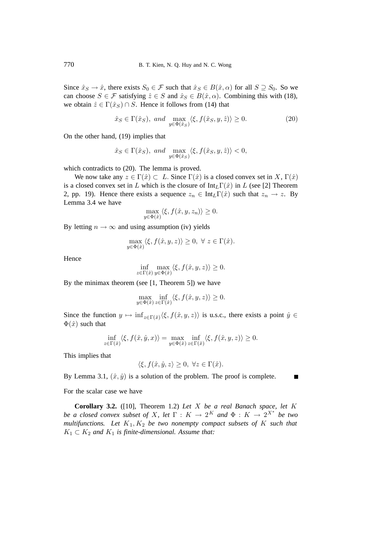Since  $\hat{x}_S \to \hat{x}$ , there exists  $S_0 \in \mathcal{F}$  such that  $\hat{x}_S \in B(\hat{x}, \alpha)$  for all  $S \supseteq S_0$ . So we can choose  $S \in \mathcal{F}$  satisfying  $\hat{z} \in S$  and  $\hat{x}_S \in B(\hat{x}, \alpha)$ . Combining this with (18), we obtain  $\hat{z} \in \Gamma(\hat{x}_S) \cap S$ . Hence it follows from (14) that

$$
\hat{x}_S \in \Gamma(\hat{x}_S), \text{ and } \max_{y \in \Phi(\hat{x}_S)} \langle \xi, f(\hat{x}_S, y, \hat{z}) \rangle \ge 0.
$$
 (20)

On the other hand, (19) implies that

$$
\hat{x}_S\in\Gamma(\hat{x}_S),\ and\ \max_{y\in\Phi(\hat{x}_S)}\langle\xi,f(\hat{x}_S,y,\hat{z})\rangle<0,
$$

which contradicts to (20). The lemma is proved.

We now take any  $z \in \Gamma(\hat{x}) \subset L$ . Since  $\Gamma(\hat{x})$  is a closed convex set in X,  $\Gamma(\hat{x})$ is a closed convex set in L which is the closure of  $Int_L\Gamma(\hat{x})$  in L (see [2] Theorem 2, pp. 19). Hence there exists a sequence  $z_n \in \text{Int}_{L}(\hat{x})$  such that  $z_n \to z$ . By Lemma 3.4 we have

$$
\max_{y \in \Phi(\hat{x})} \langle \xi, f(\hat{x}, y, z_n) \rangle \ge 0.
$$

By letting  $n \to \infty$  and using assumption (iv) yields

$$
\max_{y\in\Phi(\hat x)}\langle \xi, f(\hat x,y,z)\rangle\geq 0, \ \forall \ z\in\Gamma(\hat x).
$$

Hence

$$
\inf_{z \in \Gamma(\hat{x})} \max_{y \in \Phi(\hat{x})} \langle \xi, f(\hat{x}, y, z) \rangle \ge 0.
$$

By the minimax theorem (see [1, Theorem 5]) we have

$$
\max_{y \in \Phi(\hat{x})} \inf_{z \in \Gamma(\hat{x})} \langle \xi, f(\hat{x}, y, z) \rangle \ge 0.
$$

Since the function  $y \mapsto \inf_{z \in \Gamma(\hat{x})} \langle \xi, f(\hat{x}, y, z) \rangle$  is u.s.c., there exists a point  $\hat{y} \in$  $\Phi(\hat{x})$  such that

$$
\inf_{z \in \Gamma(\hat{x})} \langle \xi, f(\hat{x}, \hat{y}, x) \rangle = \max_{y \in \Phi(\hat{x})} \inf_{z \in \Gamma(\hat{x})} \langle \xi, f(\hat{x}, y, z) \rangle \ge 0.
$$

This implies that

$$
\langle \xi, f(\hat{x}, \hat{y}, z \rangle \ge 0, \ \forall z \in \Gamma(\hat{x}).
$$

By Lemma 3.1,  $(\hat{x}, \hat{y})$  is a solution of the problem. The proof is complete. П

For the scalar case we have

**Corollary 3.2.** ([10], Theorem 1.2) *Let* X *be a real Banach space, let* K *be a closed convex subset of X, let*  $\Gamma : K \to 2^K$  *and*  $\Phi : K \to 2^{X^*}$  *be two multifunctions.* Let  $K_1, K_2$  *be two nonempty compact subsets of* K *such that*  $K_1 \subset K_2$  *and*  $K_1$  *is finite-dimensional. Assume that:*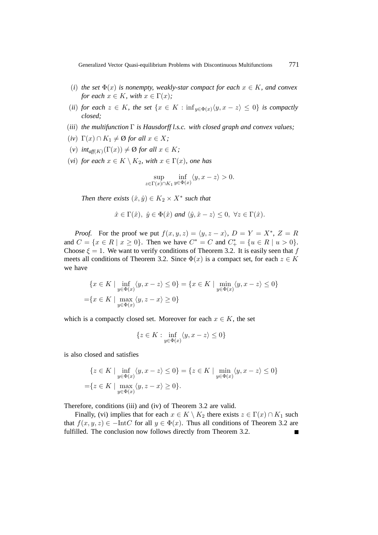- (*i*) the set  $\Phi(x)$  is nonempty, weakly-star compact for each  $x \in K$ , and convex *for each*  $x \in K$ *, with*  $x \in \Gamma(x)$ *;*
- (*ii*) *for each*  $z \in K$ *, the set*  $\{x \in K : \inf_{y \in \Phi(x)} \langle y, x z \rangle \leq 0\}$  *is compactly closed;*
- (*iii*) *the multifunction* Γ *is Hausdorff l.s.c. with closed graph and convex values;*
- $(iv) \Gamma(x) \cap K_1 \neq \emptyset$  *for all*  $x \in X$ ;
- $(v)$  *int<sub>aff(K)</sub>* $(\Gamma(x)) \neq \emptyset$  *for all*  $x \in K$ ;
- (*vi*) *for each*  $x \in K \setminus K_2$ *, with*  $x \in \Gamma(x)$ *, one has*

$$
\sup_{z \in \Gamma(x) \cap K_1} \inf_{y \in \Phi(x)} \langle y, x - z \rangle > 0.
$$

*Then there exists*  $(\hat{x}, \hat{y}) \in K_2 \times X^*$  *such that* 

$$
\hat{x} \in \Gamma(\hat{x}), \ \hat{y} \in \Phi(\hat{x}) \ \text{and} \ \langle \hat{y}, \hat{x} - z \rangle \leq 0, \ \forall z \in \Gamma(\hat{x}).
$$

*Proof.* For the proof we put  $f(x, y, z) = \langle y, z - x \rangle$ ,  $D = Y = X^*$ ,  $Z = R$ and  $C = \{x \in R \mid x \ge 0\}$ . Then we have  $C^* = C$  and  $C^* = \{u \in R \mid u > 0\}$ . Choose  $\xi = 1$ . We want to verify conditions of Theorem 3.2. It is easily seen that f meets all conditions of Theorem 3.2. Since  $\Phi(x)$  is a compact set, for each  $z \in K$ we have

$$
\{x \in K \mid \inf_{y \in \Phi(x)} \langle y, x - z \rangle \le 0\} = \{x \in K \mid \min_{y \in \Phi(x)} \langle y, x - z \rangle \le 0\}
$$

$$
= \{x \in K \mid \max_{y \in \Phi(x)} \langle y, z - x \rangle \ge 0\}
$$

which is a compactly closed set. Moreover for each  $x \in K$ , the set

$$
\{z\in K: \inf_{y\in \Phi(x)}\langle y,x-z\rangle\leq 0\}
$$

is also closed and satisfies

$$
\{z \in K \mid \inf_{y \in \Phi(x)} \langle y, x - z \rangle \le 0\} = \{z \in K \mid \min_{y \in \Phi(x)} \langle y, x - z \rangle \le 0\}
$$

$$
= \{z \in K \mid \max_{y \in \Phi(x)} \langle y, z - x \rangle \ge 0\}.
$$

Therefore, conditions (iii) and (iv) of Theorem 3.2 are valid.

Finally, (vi) implies that for each  $x \in K \setminus K_2$  there exists  $z \in \Gamma(x) \cap K_1$  such that  $f(x, y, z) \in -\text{Int}C$  for all  $y \in \Phi(x)$ . Thus all conditions of Theorem 3.2 are fulfilled. The conclusion now follows directly from Theorem 3.2.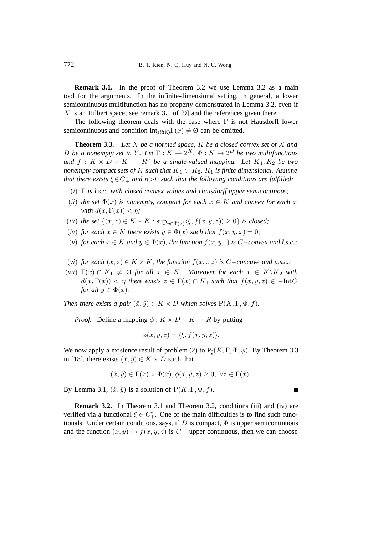**Remark 3.1.** In the proof of Theorem 3.2 we use Lemma 3.2 as a main tool for the arguments. In the infinite-dimensional setting, in general, a lower semicontinuous multifunction has no property demonstrated in Lemma 3.2, even if X is an Hilbert space; see remark 3.1 of [9] and the references given there.

The following theorem deals with the case where  $\Gamma$  is not Hausdorff lower semicontinuous and condition  $Int_{aff(K)}\Gamma(x) \neq \emptyset$  can be omitted.

**Theorem 3.3.** *Let* X *be a normed space,* K *be a closed convex set of* X *and D be a nonempty set in* Y. Let  $\Gamma : K \to 2^K$ ,  $\Phi : K \to 2^D$  *be two multifunctions and*  $f: K \times D \times K \rightarrow R^n$  *be a single-valued mapping. Let*  $K_1, K_2$  *be two nonempty compact sets of* K *such that*  $K_1 \subset K_2$ ,  $K_1$  *is finite dimensional. Assume that there exists*  $\xi \in C^*_+$  *and*  $\eta > 0$  *such that the following conditions are fulfilled:* 

- (*i*) Γ *is l.s.c. with closed convex values and Hausdorff upper semicontinous;*
- (*ii*) *the set*  $\Phi(x)$  *is nonempty, compact for each*  $x \in K$  *and convex for each* x *with*  $d(x, \Gamma(x)) < \eta$ ;
- (*iii*) *the set*  $\{(x, z) \in K \times K : \sup_{y \in \Phi(x)} \langle \xi, f(x, y, z) \rangle \ge 0\}$  *is closed;*
- (*iv*) *for each*  $x \in K$  *there exists*  $y \in \Phi(x)$  *such that*  $f(x, y, x) = 0$ ;
- (*v*) *for each*  $x \in K$  *and*  $y \in \Phi(x)$ *, the function*  $f(x, y, .)$  *is* C−*convex and l.s.c.;*
- (*vi*) *for each*  $(x, z) \in K \times K$ *, the function*  $f(x, \ldots, z)$  *is* C−*concave and u.s.c.;*
- $(vii)$   $\Gamma(x) \cap K_1 \neq \emptyset$  *for all*  $x \in K$ *. Moreover for each*  $x \in K \backslash K_2$  *with*  $d(x, \Gamma(x)) < \eta$  there exists  $z \in \Gamma(x) \cap K_1$  such that  $f(x, y, z) \in -\text{Int}C$ *for all*  $y \in \Phi(x)$ *.*

*Then there exists a pair*  $(\hat{x}, \hat{y}) \in K \times D$  *which solves*  $P(K, \Gamma, \Phi, f)$ *.* 

*Proof.* Define a mapping  $\phi: K \times D \times K \rightarrow R$  by putting

$$
\phi(x, y, z) = \langle \xi, f(x, y, z) \rangle.
$$

We now apply a existence result of problem (2) to  $P_{\xi}(K, \Gamma, \Phi, \phi)$ . By Theorem 3.3 in [18], there exists  $(\hat{x}, \hat{y}) \in K \times D$  such that

$$
(\hat{x}, \hat{y}) \in \Gamma(\hat{x}) \times \Phi(\hat{x}), \phi(\hat{x}, \hat{y}, z) \ge 0, \ \forall z \in \Gamma(\hat{x}).
$$

By Lemma 3.1,  $(\hat{x}, \hat{y})$  is a solution of  $P(K, \Gamma, \Phi, f)$ .

**Remark 3.2.** In Theorem 3.1 and Theorem 3.2, conditions (iii) and (iv) are verified via a functional  $\xi \in C^*_+$ . One of the main difficulties is to find such functionals. Under certain conditions, says, if D is compact,  $\Phi$  is upper semicontinuous and the function  $(x, y) \mapsto f(x, y, z)$  is C– upper continuous, then we can choose

 $\overline{\phantom{a}}$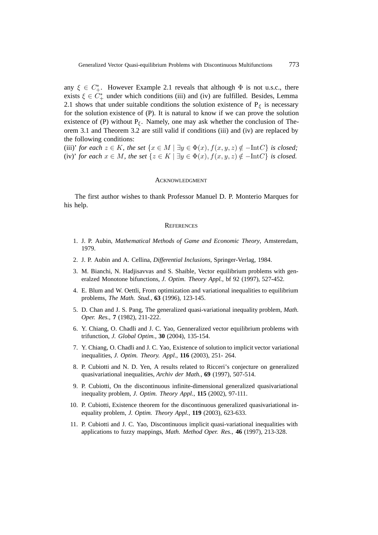any  $\xi \in C^*_+$ . However Example 2.1 reveals that although  $\Phi$  is not u.s.c., there exists  $\xi \in C^*_+$  under which conditions (iii) and (iv) are fulfilled. Besides, Lemma 2.1 shows that under suitable conditions the solution existence of  $P_{\xi}$  is necessary for the solution existence of (P). It is natural to know if we can prove the solution existence of (P) without  $P_{\xi}$ . Namely, one may ask whether the conclusion of Theorem 3.1 and Theorem 3.2 are still valid if conditions (iii) and (iv) are replaced by the following conditions:

(iii)' *for each*  $z \in K$ *, the set*  $\{x \in M \mid \exists y \in \Phi(x), f(x, y, z) \notin -\text{Int}C\}$  *is closed;* (iv)' *for each*  $x \in M$ *, the set*  $\{z \in K \mid \exists y \in \Phi(x), f(x, y, z) \notin -\text{Int}C\}$  *is closed.* 

#### ACKNOWLEDGMENT

The first author wishes to thank Professor Manuel D. P. Monterio Marques for his help.

#### **REFERENCES**

- 1. J. P. Aubin, *Mathematical Methods of Game and Economic Theory*, Amsteredam, 1979.
- 2. J. P. Aubin and A. Cellina, *Differential Inclusions*, Springer-Verlag, 1984.
- 3. M. Bianchi, N. Hadjisavvas and S. Shaible, Vector equilibrium problems with generalzed Monotone bifunctions, *J. Optim. Theory Appl.*, bf 92 (1997), 527-452.
- 4. E. Blum and W. Oettli, From optimization and variational inequalities to equilibrium problems, *The Math. Stud.*, **63** (1996), 123-145.
- 5. D. Chan and J. S. Pang, The generalized quasi-variational inequality problem, *Math. Oper. Res.*, **7** (1982), 211-222.
- 6. Y. Chiang, O. Chadli and J. C. Yao, Genneralized vector equilibrium problems with trifunction, *J. Global Optim.*, **30** (2004), 135-154.
- 7. Y. Chiang, O. Chadli and J. C. Yao, Existence of solution to implicit vector variational inequalities, *J. Optim. Theory. Appl.*, **116** (2003), 251- 264.
- 8. P. Cubiotti and N. D. Yen, A results related to Ricceri's conjecture on generalized quasivariational inequalities, *Archiv der Math.*, **69** (1997), 507-514.
- 9. P. Cubiotti, On the discontinuous infinite-dimensional generalized quasivariational inequality problem, *J. Optim. Theory Appl.*, **115** (2002), 97-111.
- 10. P. Cubiotti, Existence theorem for the discontinuous generalized quasivariational inequality problem, *J. Optim. Theory Appl.*, **119** (2003), 623-633.
- 11. P. Cubiotti and J. C. Yao, Discontinuous implicit quasi-variational inequalities with applications to fuzzy mappings, *Math. Method Oper. Res.*, **46** (1997), 213-328.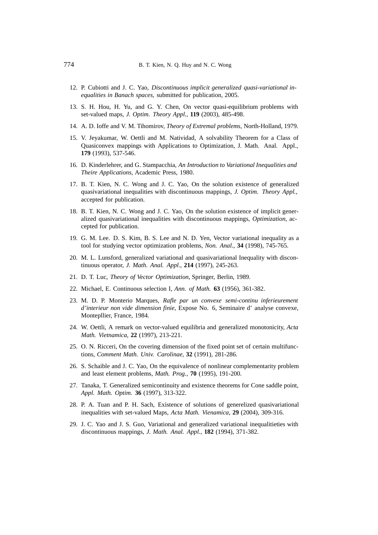- 12. P. Cubiotti and J. C. Yao, *Discontinuous implicit generalized quasi-variational inequalities in Banach spaces*, submitted for publication, 2005.
- 13. S. H. Hou, H. Yu, and G. Y. Chen, On vector quasi-equilibrium problems with set-valued maps, *J. Optim. Theory Appl.*, **119** (2003), 485-498.
- 14. A. D. Ioffe and V. M. Tihomirov, *Theory of Extremal problems*, North-Holland, 1979.
- 15. V. Jeyakumar, W. Oettli and M. Natividad, A solvability Theorem for a Class of Quasiconvex mappings with Applications to Optimization, J. Math. Anal. Appl., **179** (1993), 537-546.
- 16. D. Kinderlehrer, and G. Stampacchia, *An Introduction to Variational Inequalities and Theire Applications*, Academic Press, 1980.
- 17. B. T. Kien, N. C. Wong and J. C. Yao, On the solution existence of generalized quasivariational inequalities with discontinuous mappings, *J. Optim. Theory Appl.*, accepted for publication.
- 18. B. T. Kien, N. C. Wong and J. C. Yao, On the solution existence of implicit generalized quasivariational inequalities with discontinuous mappings, *Optimization*, accepted for publication.
- 19. G. M. Lee. D. S. Kim, B. S. Lee and N. D. Yen, Vector variational inequality as a tool for studying vector optimization problems, *Non. Anal.*, **34** (1998), 745-765.
- 20. M. L. Lunsford, generalized variational and quasivariational Inequality with discontinuous operator, *J. Math. Anal. Appl.*, **214** (1997), 245-263.
- 21. D. T. Luc, *Theory of Vector Optimization*, Springer, Berlin, 1989.
- 22. Michael, E. Continuous selection I, *Ann. of Math.* **63** (1956), 361-382.
- 23. M. D. P. Monterio Marques, *Rafle par un convexe semi-continu inferieurement d'interieur non vide dimension finie*, Expose No. 6, Seminaire d' analyse convexe, Montepllier, France, 1984.
- 24. W. Oettli, A remark on vector-valued equilibria and generalized monotonicity, *Acta Math. Vietnamica*, **22** (1997), 213-221.
- 25. O. N. Ricceri, On the covering dimension of the fixed point set of certain multifunctions, *Comment Math. Univ. Carolinae*, **32** (1991), 281-286.
- 26. S. Schaible and J. C. Yao, On the equivalence of nonlinear complementarity problem and least element problems, *Math. Prog.*, **70** (1995), 191-200.
- 27. Tanaka, T. Generalized semicontinuity and existence theorems for Cone saddle point, *Appl. Math. Optim.* **36** (1997), 313-322.
- 28. P. A. Tuan and P. H. Sach, Existence of solutions of generelized quasivariational inequalities with set-valued Maps, *Acta Math. Vienamica*, **29** (2004), 309-316.
- 29. J. C. Yao and J. S. Guo, Variational and generalized variational inequalitieties with discontinuous mappings, *J. Math. Anal. Appl.*, **182** (1994), 371-382.